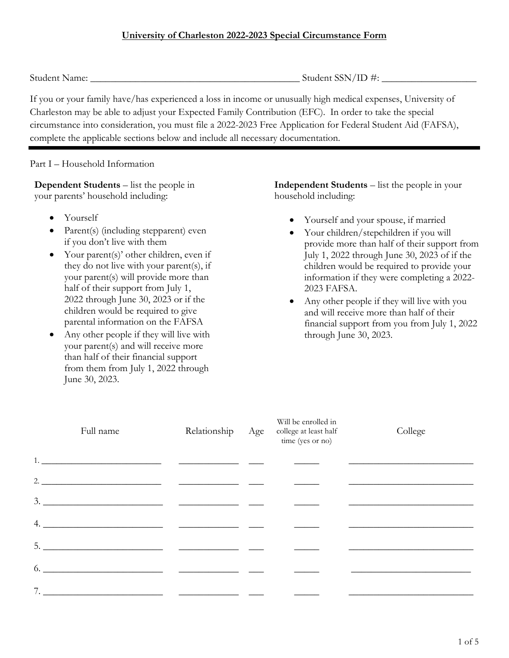Student Name: \_\_\_\_\_\_\_\_\_\_\_\_\_\_\_\_\_\_\_\_\_\_\_\_\_\_\_\_\_\_\_\_\_\_\_\_\_\_\_\_\_\_ Student SSN/ID #: \_\_\_\_\_\_\_\_\_\_\_\_\_\_\_\_\_\_\_

If you or your family have/has experienced a loss in income or unusually high medical expenses, University of Charleston may be able to adjust your Expected Family Contribution (EFC). In order to take the special circumstance into consideration, you must file a 2022-2023 Free Application for Federal Student Aid (FAFSA), complete the applicable sections below and include all necessary documentation.

Part I – Household Information

**Dependent Students** – list the people in your parents' household including:

- Yourself
- Parent(s) (including stepparent) even if you don't live with them
- Your parent(s)' other children, even if they do not live with your parent(s), if your parent(s) will provide more than half of their support from July 1, 2022 through June 30, 2023 or if the children would be required to give parental information on the FAFSA
- Any other people if they will live with your parent(s) and will receive more than half of their financial support from them from July 1, 2022 through June 30, 2023.

**Independent Students** – list the people in your household including:

- Yourself and your spouse, if married
- Your children/stepchildren if you will provide more than half of their support from July 1, 2022 through June 30, 2023 of if the children would be required to provide your information if they were completing a 2022- 2023 FAFSA.
- Any other people if they will live with you and will receive more than half of their financial support from you from July 1, 2022 through June 30, 2023.

| Full name                                                                                                                                                                                                                                                                                                                                     |                                                                                                                                                                                                                                                                                                                                                                                                                                                                          | Relationship | Age | Will be enrolled in<br>college at least half<br>time (yes or no) | College |
|-----------------------------------------------------------------------------------------------------------------------------------------------------------------------------------------------------------------------------------------------------------------------------------------------------------------------------------------------|--------------------------------------------------------------------------------------------------------------------------------------------------------------------------------------------------------------------------------------------------------------------------------------------------------------------------------------------------------------------------------------------------------------------------------------------------------------------------|--------------|-----|------------------------------------------------------------------|---------|
| $1.$ $\qquad \qquad$ $\qquad \qquad$ $\qquad$ $\qquad$ $\qquad$ $\qquad$ $\qquad$ $\qquad$ $\qquad$ $\qquad$ $\qquad$ $\qquad$ $\qquad$ $\qquad$ $\qquad$ $\qquad$ $\qquad$ $\qquad$ $\qquad$ $\qquad$ $\qquad$ $\qquad$ $\qquad$ $\qquad$ $\qquad$ $\qquad$ $\qquad$ $\qquad$ $\qquad$ $\qquad$ $\qquad$ $\qquad$ $\qquad$ $\qquad$ $\qquad$ |                                                                                                                                                                                                                                                                                                                                                                                                                                                                          |              |     |                                                                  |         |
|                                                                                                                                                                                                                                                                                                                                               | 2. $\overline{\phantom{a}}$ $\overline{\phantom{a}}$ $\overline{\phantom{a}}$ $\overline{\phantom{a}}$ $\overline{\phantom{a}}$ $\overline{\phantom{a}}$ $\overline{\phantom{a}}$ $\overline{\phantom{a}}$ $\overline{\phantom{a}}$ $\overline{\phantom{a}}$ $\overline{\phantom{a}}$ $\overline{\phantom{a}}$ $\overline{\phantom{a}}$ $\overline{\phantom{a}}$ $\overline{\phantom{a}}$ $\overline{\phantom{a}}$ $\overline{\phantom{a}}$ $\overline{\phantom{a}}$ $\$ |              |     |                                                                  |         |
|                                                                                                                                                                                                                                                                                                                                               |                                                                                                                                                                                                                                                                                                                                                                                                                                                                          |              |     |                                                                  |         |
|                                                                                                                                                                                                                                                                                                                                               |                                                                                                                                                                                                                                                                                                                                                                                                                                                                          |              |     |                                                                  |         |
| $\frac{1}{2}$                                                                                                                                                                                                                                                                                                                                 |                                                                                                                                                                                                                                                                                                                                                                                                                                                                          |              |     |                                                                  |         |
| 6.                                                                                                                                                                                                                                                                                                                                            |                                                                                                                                                                                                                                                                                                                                                                                                                                                                          |              |     |                                                                  |         |
| 7. $\qquad \qquad$                                                                                                                                                                                                                                                                                                                            |                                                                                                                                                                                                                                                                                                                                                                                                                                                                          |              |     |                                                                  |         |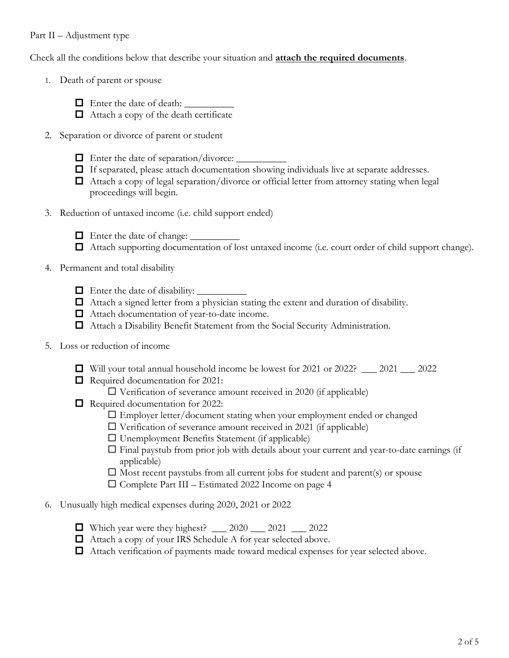## Part II – Adjustment type

Check all the conditions below that describe your situation and **attach the required documents**.

- 1. Death of parent or spouse
	- $\Box$  Enter the date of death:
	- $\Box$  Attach a copy of the death certificate
- 2. Separation or divorce of parent or student
	- Enter the date of separation/divorce: \_\_\_\_\_\_\_\_\_\_
	- If separated, please attach documentation showing individuals live at separate addresses.
	- $\Box$  Attach a copy of legal separation/divorce or official letter from attorney stating when legal proceedings will begin.
- 3. Reduction of untaxed income (i.e. child support ended)
	- $\Box$  Enter the date of change:  $\Box$
	- Attach supporting documentation of lost untaxed income (i.e. court order of child support change).
- 4. Permanent and total disability
	- $\Box$  Enter the date of disability:  $\Box$
	- $\Box$  Attach a signed letter from a physician stating the extent and duration of disability.
	- □ Attach documentation of year-to-date income.
	- Attach a Disability Benefit Statement from the Social Security Administration.
- 5. Loss or reduction of income
	- $\Box$  Will your total annual household income be lowest for 2021 or 2022?  $\Box$  2021  $\Box$  2022
	- Required documentation for 2021:
		- $\Box$  Verification of severance amount received in 2020 (if applicable)
	- Required documentation for 2022:
		- Employer letter/document stating when your employment ended or changed
		- $\Box$  Verification of severance amount received in 2021 (if applicable)
		- $\square$  Unemployment Benefits Statement (if applicable)
		- $\Box$  Final paystub from prior job with details about your current and year-to-date earnings (if applicable)
		- $\square$  Most recent paystubs from all current jobs for student and parent(s) or spouse
		- $\square$  Complete Part III Estimated 2022 Income on page 4
- 6. Unusually high medical expenses during 2020, 2021 or 2022
	- $\Box$  Which year were they highest?  $2020$   $2021$   $2022$
	- Attach a copy of your IRS Schedule A for year selected above.
	- Attach verification of payments made toward medical expenses for year selected above.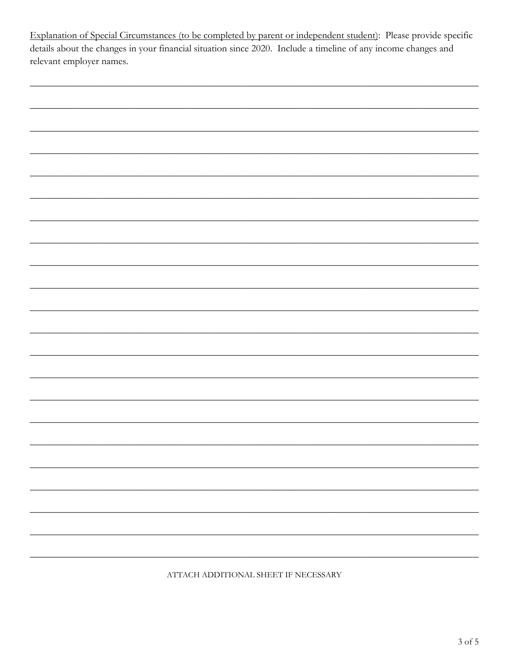Explanation of Special Circumstances (to be completed by parent or independent student): Please provide specific details about the changes in your financial situation since 2020. Include a timeline of any income changes and relevant employer names.

|                                                                                                                       | - |
|-----------------------------------------------------------------------------------------------------------------------|---|
|                                                                                                                       |   |
|                                                                                                                       |   |
|                                                                                                                       |   |
|                                                                                                                       | - |
|                                                                                                                       |   |
|                                                                                                                       |   |
|                                                                                                                       |   |
|                                                                                                                       |   |
|                                                                                                                       |   |
|                                                                                                                       |   |
|                                                                                                                       |   |
| <u> 1989 - Johann Stoff, amerikan bestemanns foar it ferskearre fan de ferskearre fan de ferskearre fan de ferske</u> |   |

ATTACH ADDITIONAL SHEET IF NECESSARY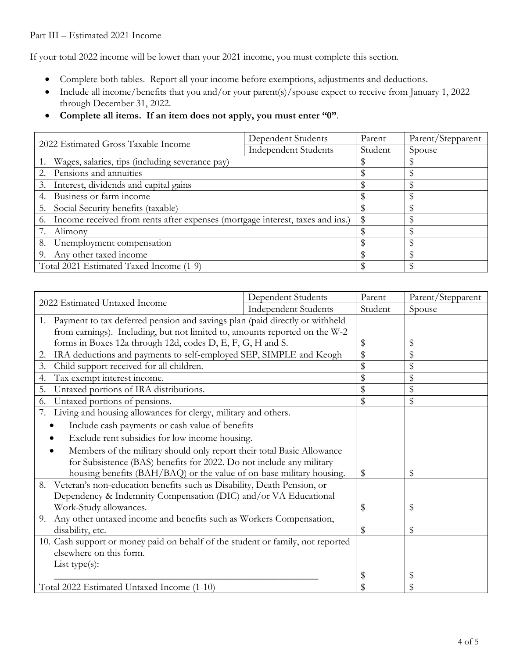## Part III – Estimated 2021 Income

If your total 2022 income will be lower than your 2021 income, you must complete this section.

- Complete both tables. Report all your income before exemptions, adjustments and deductions.
- Include all income/benefits that you and/or your parent(s)/spouse expect to receive from January 1, 2022 through December 31, 2022.
- **Complete all items. If an item does not apply, you must enter "0"**.

| 2022 Estimated Gross Taxable Income                                                 | Dependent Students          | Parent  | Parent/Stepparent |
|-------------------------------------------------------------------------------------|-----------------------------|---------|-------------------|
|                                                                                     | <b>Independent Students</b> | Student | Spouse            |
| Wages, salaries, tips (including severance pay)                                     |                             |         |                   |
| 2. Pensions and annuities                                                           |                             |         |                   |
| Interest, dividends and capital gains<br>3.                                         |                             |         |                   |
| Business or farm income<br>4.                                                       |                             |         |                   |
| Social Security benefits (taxable)<br>5.                                            |                             |         |                   |
| Income received from rents after expenses (mortgage interest, taxes and ins.)<br>6. |                             |         |                   |
| Alimony                                                                             |                             |         |                   |
| 8. Unemployment compensation                                                        |                             |         |                   |
| 9. Any other taxed income                                                           |                             |         |                   |
| Total 2021 Estimated Taxed Income (1-9)                                             |                             |         |                   |

| 2022 Estimated Untaxed Income                                                     | Dependent Students          | Parent   | Parent/Stepparent |
|-----------------------------------------------------------------------------------|-----------------------------|----------|-------------------|
|                                                                                   | <b>Independent Students</b> | Student  | Spouse            |
| Payment to tax deferred pension and savings plan (paid directly or withheld<br>1. |                             |          |                   |
| from earnings). Including, but not limited to, amounts reported on the W-2        |                             |          |                   |
| forms in Boxes 12a through 12d, codes D, E, F, G, H and S.                        |                             |          | \$                |
| IRA deductions and payments to self-employed SEP, SIMPLE and Keogh<br>2.          |                             |          | \$                |
| Child support received for all children.<br>3.                                    |                             |          | \$                |
| Tax exempt interest income.<br>4.                                                 |                             |          | \$                |
| Untaxed portions of IRA distributions.<br>5.                                      |                             |          | \$                |
| Untaxed portions of pensions.<br>6.                                               |                             |          | \$                |
| 7.<br>Living and housing allowances for clergy, military and others.              |                             |          |                   |
| Include cash payments or cash value of benefits                                   |                             |          |                   |
| Exclude rent subsidies for low income housing.                                    |                             |          |                   |
| Members of the military should only report their total Basic Allowance            |                             |          |                   |
| for Subsistence (BAS) benefits for 2022. Do not include any military              |                             |          |                   |
| housing benefits (BAH/BAQ) or the value of on-base military housing.              |                             |          | \$                |
| Veteran's non-education benefits such as Disability, Death Pension, or<br>8.      |                             |          |                   |
| Dependency & Indemnity Compensation (DIC) and/or VA Educational                   |                             |          |                   |
| Work-Study allowances.                                                            |                             |          | \$                |
| Any other untaxed income and benefits such as Workers Compensation,<br>9.         |                             |          |                   |
| disability, etc.                                                                  |                             |          | \$                |
| 10. Cash support or money paid on behalf of the student or family, not reported   |                             |          |                   |
| elsewhere on this form.                                                           |                             |          |                   |
| List type $(s)$ :                                                                 |                             |          |                   |
|                                                                                   |                             | \$<br>\$ | \$                |
| Total 2022 Estimated Untaxed Income (1-10)                                        |                             |          | \$                |